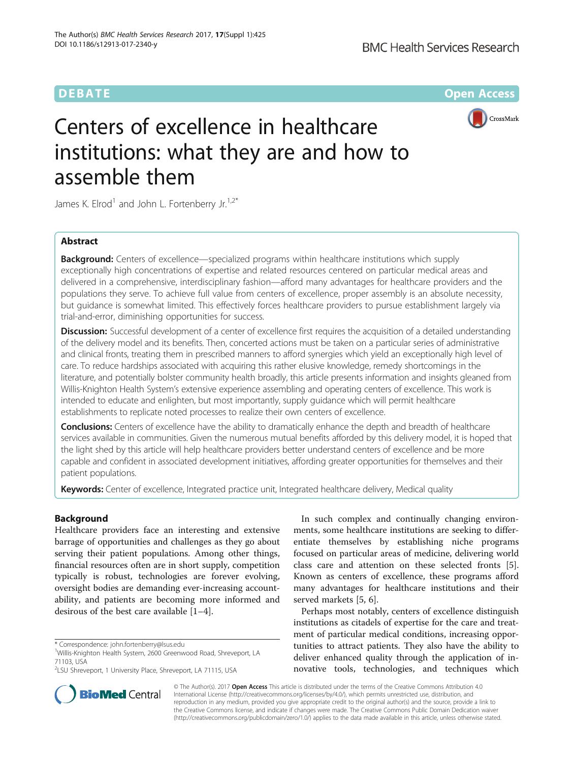**DEBATE CONSERVATION CONSERVATION** 



# Centers of excellence in healthcare institutions: what they are and how to assemble them

James K. Elrod<sup>1</sup> and John L. Fortenberry Jr.<sup>1,2\*</sup>

# Abstract

**Background:** Centers of excellence—specialized programs within healthcare institutions which supply exceptionally high concentrations of expertise and related resources centered on particular medical areas and delivered in a comprehensive, interdisciplinary fashion—afford many advantages for healthcare providers and the populations they serve. To achieve full value from centers of excellence, proper assembly is an absolute necessity, but guidance is somewhat limited. This effectively forces healthcare providers to pursue establishment largely via trial-and-error, diminishing opportunities for success.

Discussion: Successful development of a center of excellence first requires the acquisition of a detailed understanding of the delivery model and its benefits. Then, concerted actions must be taken on a particular series of administrative and clinical fronts, treating them in prescribed manners to afford synergies which yield an exceptionally high level of care. To reduce hardships associated with acquiring this rather elusive knowledge, remedy shortcomings in the literature, and potentially bolster community health broadly, this article presents information and insights gleaned from Willis-Knighton Health System's extensive experience assembling and operating centers of excellence. This work is intended to educate and enlighten, but most importantly, supply guidance which will permit healthcare establishments to replicate noted processes to realize their own centers of excellence.

Conclusions: Centers of excellence have the ability to dramatically enhance the depth and breadth of healthcare services available in communities. Given the numerous mutual benefits afforded by this delivery model, it is hoped that the light shed by this article will help healthcare providers better understand centers of excellence and be more capable and confident in associated development initiatives, affording greater opportunities for themselves and their patient populations.

Keywords: Center of excellence, Integrated practice unit, Integrated healthcare delivery, Medical quality

# Background

Healthcare providers face an interesting and extensive barrage of opportunities and challenges as they go about serving their patient populations. Among other things, financial resources often are in short supply, competition typically is robust, technologies are forever evolving, oversight bodies are demanding ever-increasing accountability, and patients are becoming more informed and desirous of the best care available [\[1](#page-9-0)–[4](#page-9-0)].

In such complex and continually changing environments, some healthcare institutions are seeking to differentiate themselves by establishing niche programs focused on particular areas of medicine, delivering world class care and attention on these selected fronts [\[5](#page-9-0)]. Known as centers of excellence, these programs afford many advantages for healthcare institutions and their served markets [[5, 6\]](#page-9-0).

Perhaps most notably, centers of excellence distinguish institutions as citadels of expertise for the care and treatment of particular medical conditions, increasing opportunities to attract patients. They also have the ability to deliver enhanced quality through the application of innovative tools, technologies, and techniques which



© The Author(s). 2017 **Open Access** This article is distributed under the terms of the Creative Commons Attribution 4.0 International License [\(http://creativecommons.org/licenses/by/4.0/](http://creativecommons.org/licenses/by/4.0/)), which permits unrestricted use, distribution, and reproduction in any medium, provided you give appropriate credit to the original author(s) and the source, provide a link to the Creative Commons license, and indicate if changes were made. The Creative Commons Public Domain Dedication waiver [\(http://creativecommons.org/publicdomain/zero/1.0/](http://creativecommons.org/publicdomain/zero/1.0/)) applies to the data made available in this article, unless otherwise stated.

<sup>\*</sup> Correspondence: [john.fortenberry@lsus.edu](mailto:john.fortenberry@lsus.edu) <sup>1</sup>

<sup>&</sup>lt;sup>1</sup>Willis-Knighton Health System, 2600 Greenwood Road, Shreveport, LA 71103, USA

<sup>&</sup>lt;sup>2</sup>LSU Shreveport, 1 University Place, Shreveport, LA 71115, USA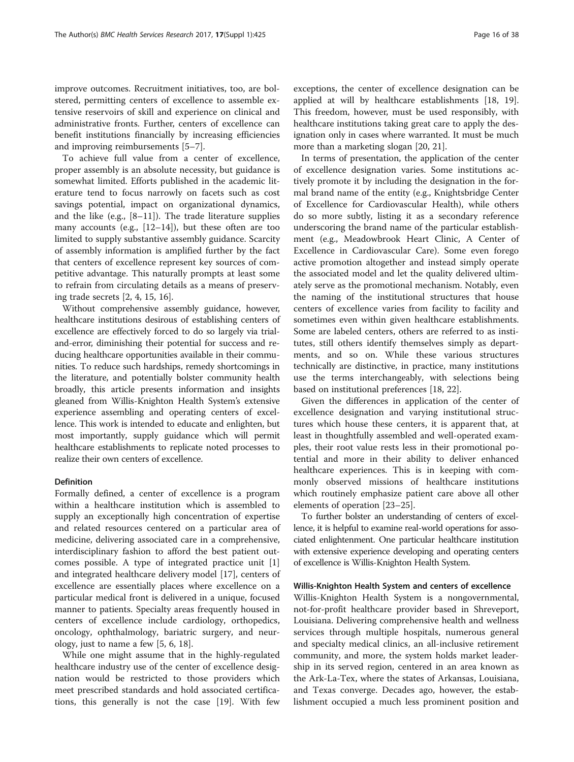improve outcomes. Recruitment initiatives, too, are bolstered, permitting centers of excellence to assemble extensive reservoirs of skill and experience on clinical and administrative fronts. Further, centers of excellence can benefit institutions financially by increasing efficiencies and improving reimbursements [[5](#page-9-0)–[7\]](#page-9-0).

To achieve full value from a center of excellence, proper assembly is an absolute necessity, but guidance is somewhat limited. Efforts published in the academic literature tend to focus narrowly on facets such as cost savings potential, impact on organizational dynamics, and the like (e.g., [[8](#page-9-0)–[11](#page-9-0)]). The trade literature supplies many accounts (e.g.,  $[12-14]$  $[12-14]$  $[12-14]$ ), but these often are too limited to supply substantive assembly guidance. Scarcity of assembly information is amplified further by the fact that centers of excellence represent key sources of competitive advantage. This naturally prompts at least some to refrain from circulating details as a means of preserving trade secrets [\[2, 4, 15, 16\]](#page-9-0).

Without comprehensive assembly guidance, however, healthcare institutions desirous of establishing centers of excellence are effectively forced to do so largely via trialand-error, diminishing their potential for success and reducing healthcare opportunities available in their communities. To reduce such hardships, remedy shortcomings in the literature, and potentially bolster community health broadly, this article presents information and insights gleaned from Willis-Knighton Health System's extensive experience assembling and operating centers of excellence. This work is intended to educate and enlighten, but most importantly, supply guidance which will permit healthcare establishments to replicate noted processes to realize their own centers of excellence.

#### Definition

Formally defined, a center of excellence is a program within a healthcare institution which is assembled to supply an exceptionally high concentration of expertise and related resources centered on a particular area of medicine, delivering associated care in a comprehensive, interdisciplinary fashion to afford the best patient outcomes possible. A type of integrated practice unit [\[1](#page-9-0)] and integrated healthcare delivery model [[17](#page-9-0)], centers of excellence are essentially places where excellence on a particular medical front is delivered in a unique, focused manner to patients. Specialty areas frequently housed in centers of excellence include cardiology, orthopedics, oncology, ophthalmology, bariatric surgery, and neurology, just to name a few [\[5](#page-9-0), [6](#page-9-0), [18](#page-9-0)].

While one might assume that in the highly-regulated healthcare industry use of the center of excellence designation would be restricted to those providers which meet prescribed standards and hold associated certifications, this generally is not the case [[19\]](#page-9-0). With few exceptions, the center of excellence designation can be applied at will by healthcare establishments [[18, 19](#page-9-0)]. This freedom, however, must be used responsibly, with healthcare institutions taking great care to apply the designation only in cases where warranted. It must be much more than a marketing slogan [\[20, 21\]](#page-9-0).

In terms of presentation, the application of the center of excellence designation varies. Some institutions actively promote it by including the designation in the formal brand name of the entity (e.g., Knightsbridge Center of Excellence for Cardiovascular Health), while others do so more subtly, listing it as a secondary reference underscoring the brand name of the particular establishment (e.g., Meadowbrook Heart Clinic, A Center of Excellence in Cardiovascular Care). Some even forego active promotion altogether and instead simply operate the associated model and let the quality delivered ultimately serve as the promotional mechanism. Notably, even the naming of the institutional structures that house centers of excellence varies from facility to facility and sometimes even within given healthcare establishments. Some are labeled centers, others are referred to as institutes, still others identify themselves simply as departments, and so on. While these various structures technically are distinctive, in practice, many institutions use the terms interchangeably, with selections being based on institutional preferences [[18, 22\]](#page-9-0).

Given the differences in application of the center of excellence designation and varying institutional structures which house these centers, it is apparent that, at least in thoughtfully assembled and well-operated examples, their root value rests less in their promotional potential and more in their ability to deliver enhanced healthcare experiences. This is in keeping with commonly observed missions of healthcare institutions which routinely emphasize patient care above all other elements of operation [\[23](#page-9-0)–[25\]](#page-9-0).

To further bolster an understanding of centers of excellence, it is helpful to examine real-world operations for associated enlightenment. One particular healthcare institution with extensive experience developing and operating centers of excellence is Willis-Knighton Health System.

#### Willis-Knighton Health System and centers of excellence

Willis-Knighton Health System is a nongovernmental, not-for-profit healthcare provider based in Shreveport, Louisiana. Delivering comprehensive health and wellness services through multiple hospitals, numerous general and specialty medical clinics, an all-inclusive retirement community, and more, the system holds market leadership in its served region, centered in an area known as the Ark-La-Tex, where the states of Arkansas, Louisiana, and Texas converge. Decades ago, however, the establishment occupied a much less prominent position and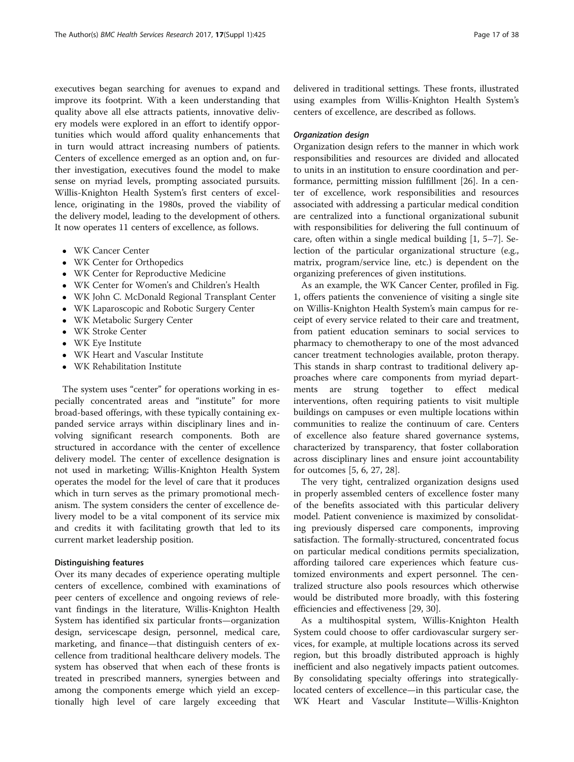executives began searching for avenues to expand and improve its footprint. With a keen understanding that quality above all else attracts patients, innovative delivery models were explored in an effort to identify opportunities which would afford quality enhancements that in turn would attract increasing numbers of patients. Centers of excellence emerged as an option and, on further investigation, executives found the model to make sense on myriad levels, prompting associated pursuits. Willis-Knighton Health System's first centers of excellence, originating in the 1980s, proved the viability of the delivery model, leading to the development of others. It now operates 11 centers of excellence, as follows.

- WK Cancer Center
- WK Center for Orthopedics
- WK Center for Reproductive Medicine
- WK Center for Women's and Children's Health
- WK John C. McDonald Regional Transplant Center
- WK Laparoscopic and Robotic Surgery Center
- WK Metabolic Surgery Center
- WK Stroke Center
- WK Eye Institute
- WK Heart and Vascular Institute
- WK Rehabilitation Institute

The system uses "center" for operations working in especially concentrated areas and "institute" for more broad-based offerings, with these typically containing expanded service arrays within disciplinary lines and involving significant research components. Both are structured in accordance with the center of excellence delivery model. The center of excellence designation is not used in marketing; Willis-Knighton Health System operates the model for the level of care that it produces which in turn serves as the primary promotional mechanism. The system considers the center of excellence delivery model to be a vital component of its service mix and credits it with facilitating growth that led to its current market leadership position.

#### Distinguishing features

Over its many decades of experience operating multiple centers of excellence, combined with examinations of peer centers of excellence and ongoing reviews of relevant findings in the literature, Willis-Knighton Health System has identified six particular fronts—organization design, servicescape design, personnel, medical care, marketing, and finance—that distinguish centers of excellence from traditional healthcare delivery models. The system has observed that when each of these fronts is treated in prescribed manners, synergies between and among the components emerge which yield an exceptionally high level of care largely exceeding that delivered in traditional settings. These fronts, illustrated using examples from Willis-Knighton Health System's centers of excellence, are described as follows.

# Organization design

Organization design refers to the manner in which work responsibilities and resources are divided and allocated to units in an institution to ensure coordination and performance, permitting mission fulfillment [[26\]](#page-9-0). In a center of excellence, work responsibilities and resources associated with addressing a particular medical condition are centralized into a functional organizational subunit with responsibilities for delivering the full continuum of care, often within a single medical building [[1, 5](#page-9-0)–[7\]](#page-9-0). Selection of the particular organizational structure (e.g., matrix, program/service line, etc.) is dependent on the organizing preferences of given institutions.

As an example, the WK Cancer Center, profiled in Fig. [1,](#page-3-0) offers patients the convenience of visiting a single site on Willis-Knighton Health System's main campus for receipt of every service related to their care and treatment, from patient education seminars to social services to pharmacy to chemotherapy to one of the most advanced cancer treatment technologies available, proton therapy. This stands in sharp contrast to traditional delivery approaches where care components from myriad departments are strung together to effect medical interventions, often requiring patients to visit multiple buildings on campuses or even multiple locations within communities to realize the continuum of care. Centers of excellence also feature shared governance systems, characterized by transparency, that foster collaboration across disciplinary lines and ensure joint accountability for outcomes [[5, 6, 27, 28\]](#page-9-0).

The very tight, centralized organization designs used in properly assembled centers of excellence foster many of the benefits associated with this particular delivery model. Patient convenience is maximized by consolidating previously dispersed care components, improving satisfaction. The formally-structured, concentrated focus on particular medical conditions permits specialization, affording tailored care experiences which feature customized environments and expert personnel. The centralized structure also pools resources which otherwise would be distributed more broadly, with this fostering efficiencies and effectiveness [\[29](#page-9-0), [30](#page-9-0)].

As a multihospital system, Willis-Knighton Health System could choose to offer cardiovascular surgery services, for example, at multiple locations across its served region, but this broadly distributed approach is highly inefficient and also negatively impacts patient outcomes. By consolidating specialty offerings into strategicallylocated centers of excellence—in this particular case, the WK Heart and Vascular Institute—Willis-Knighton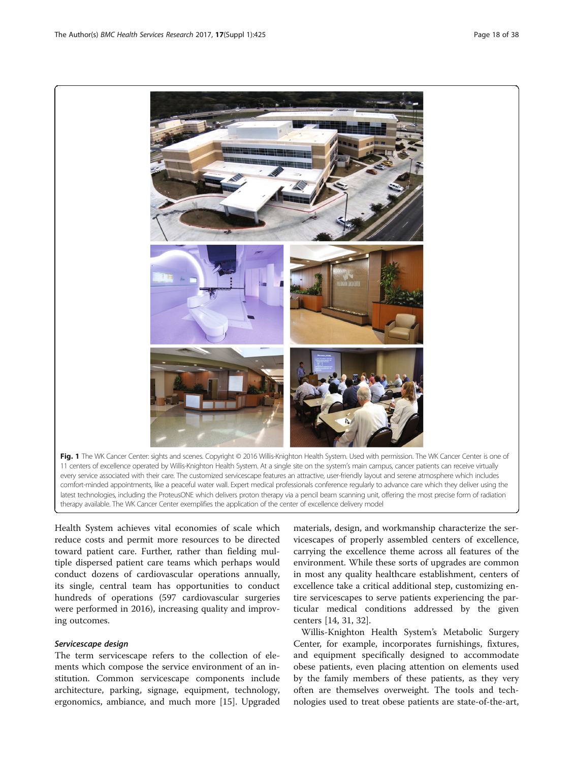<span id="page-3-0"></span>

Health System achieves vital economies of scale which reduce costs and permit more resources to be directed toward patient care. Further, rather than fielding multiple dispersed patient care teams which perhaps would conduct dozens of cardiovascular operations annually, its single, central team has opportunities to conduct hundreds of operations (597 cardiovascular surgeries were performed in 2016), increasing quality and improving outcomes.

### Servicescape design

The term servicescape refers to the collection of elements which compose the service environment of an institution. Common servicescape components include architecture, parking, signage, equipment, technology, ergonomics, ambiance, and much more [\[15](#page-9-0)]. Upgraded

materials, design, and workmanship characterize the servicescapes of properly assembled centers of excellence, carrying the excellence theme across all features of the environment. While these sorts of upgrades are common in most any quality healthcare establishment, centers of excellence take a critical additional step, customizing entire servicescapes to serve patients experiencing the particular medical conditions addressed by the given centers [\[14, 31, 32\]](#page-9-0).

Willis-Knighton Health System's Metabolic Surgery Center, for example, incorporates furnishings, fixtures, and equipment specifically designed to accommodate obese patients, even placing attention on elements used by the family members of these patients, as they very often are themselves overweight. The tools and technologies used to treat obese patients are state-of-the-art,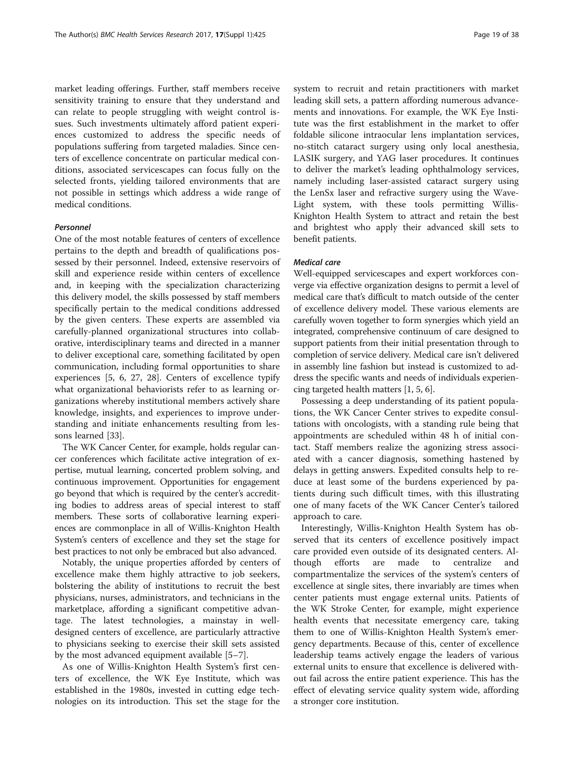market leading offerings. Further, staff members receive sensitivity training to ensure that they understand and can relate to people struggling with weight control issues. Such investments ultimately afford patient experiences customized to address the specific needs of populations suffering from targeted maladies. Since centers of excellence concentrate on particular medical conditions, associated servicescapes can focus fully on the selected fronts, yielding tailored environments that are not possible in settings which address a wide range of medical conditions.

### Personnel

One of the most notable features of centers of excellence pertains to the depth and breadth of qualifications possessed by their personnel. Indeed, extensive reservoirs of skill and experience reside within centers of excellence and, in keeping with the specialization characterizing this delivery model, the skills possessed by staff members specifically pertain to the medical conditions addressed by the given centers. These experts are assembled via carefully-planned organizational structures into collaborative, interdisciplinary teams and directed in a manner to deliver exceptional care, something facilitated by open communication, including formal opportunities to share experiences [\[5, 6, 27, 28](#page-9-0)]. Centers of excellence typify what organizational behaviorists refer to as learning organizations whereby institutional members actively share knowledge, insights, and experiences to improve understanding and initiate enhancements resulting from lessons learned [[33\]](#page-9-0).

The WK Cancer Center, for example, holds regular cancer conferences which facilitate active integration of expertise, mutual learning, concerted problem solving, and continuous improvement. Opportunities for engagement go beyond that which is required by the center's accrediting bodies to address areas of special interest to staff members. These sorts of collaborative learning experiences are commonplace in all of Willis-Knighton Health System's centers of excellence and they set the stage for best practices to not only be embraced but also advanced.

Notably, the unique properties afforded by centers of excellence make them highly attractive to job seekers, bolstering the ability of institutions to recruit the best physicians, nurses, administrators, and technicians in the marketplace, affording a significant competitive advantage. The latest technologies, a mainstay in welldesigned centers of excellence, are particularly attractive to physicians seeking to exercise their skill sets assisted by the most advanced equipment available [[5](#page-9-0)–[7](#page-9-0)].

As one of Willis-Knighton Health System's first centers of excellence, the WK Eye Institute, which was established in the 1980s, invested in cutting edge technologies on its introduction. This set the stage for the system to recruit and retain practitioners with market leading skill sets, a pattern affording numerous advancements and innovations. For example, the WK Eye Institute was the first establishment in the market to offer foldable silicone intraocular lens implantation services, no-stitch cataract surgery using only local anesthesia, LASIK surgery, and YAG laser procedures. It continues to deliver the market's leading ophthalmology services, namely including laser-assisted cataract surgery using the LenSx laser and refractive surgery using the Wave-Light system, with these tools permitting Willis-Knighton Health System to attract and retain the best and brightest who apply their advanced skill sets to benefit patients.

#### Medical care

Well-equipped servicescapes and expert workforces converge via effective organization designs to permit a level of medical care that's difficult to match outside of the center of excellence delivery model. These various elements are carefully woven together to form synergies which yield an integrated, comprehensive continuum of care designed to support patients from their initial presentation through to completion of service delivery. Medical care isn't delivered in assembly line fashion but instead is customized to address the specific wants and needs of individuals experiencing targeted health matters [\[1](#page-9-0), [5, 6](#page-9-0)].

Possessing a deep understanding of its patient populations, the WK Cancer Center strives to expedite consultations with oncologists, with a standing rule being that appointments are scheduled within 48 h of initial contact. Staff members realize the agonizing stress associated with a cancer diagnosis, something hastened by delays in getting answers. Expedited consults help to reduce at least some of the burdens experienced by patients during such difficult times, with this illustrating one of many facets of the WK Cancer Center's tailored approach to care.

Interestingly, Willis-Knighton Health System has observed that its centers of excellence positively impact care provided even outside of its designated centers. Although efforts are made to centralize and compartmentalize the services of the system's centers of excellence at single sites, there invariably are times when center patients must engage external units. Patients of the WK Stroke Center, for example, might experience health events that necessitate emergency care, taking them to one of Willis-Knighton Health System's emergency departments. Because of this, center of excellence leadership teams actively engage the leaders of various external units to ensure that excellence is delivered without fail across the entire patient experience. This has the effect of elevating service quality system wide, affording a stronger core institution.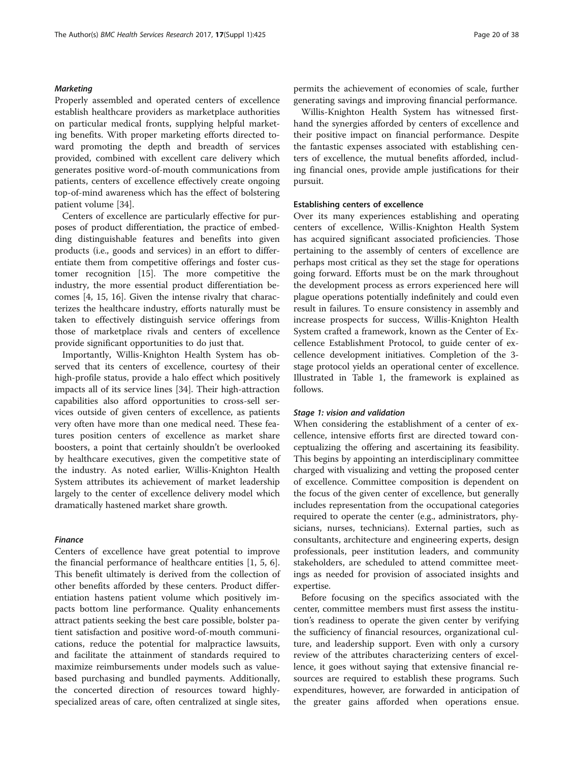#### **Marketing**

Properly assembled and operated centers of excellence establish healthcare providers as marketplace authorities on particular medical fronts, supplying helpful marketing benefits. With proper marketing efforts directed toward promoting the depth and breadth of services provided, combined with excellent care delivery which generates positive word-of-mouth communications from patients, centers of excellence effectively create ongoing top-of-mind awareness which has the effect of bolstering patient volume [\[34\]](#page-9-0).

Centers of excellence are particularly effective for purposes of product differentiation, the practice of embedding distinguishable features and benefits into given products (i.e., goods and services) in an effort to differentiate them from competitive offerings and foster customer recognition [\[15](#page-9-0)]. The more competitive the industry, the more essential product differentiation becomes [\[4](#page-9-0), [15, 16](#page-9-0)]. Given the intense rivalry that characterizes the healthcare industry, efforts naturally must be taken to effectively distinguish service offerings from those of marketplace rivals and centers of excellence provide significant opportunities to do just that.

Importantly, Willis-Knighton Health System has observed that its centers of excellence, courtesy of their high-profile status, provide a halo effect which positively impacts all of its service lines [\[34](#page-9-0)]. Their high-attraction capabilities also afford opportunities to cross-sell services outside of given centers of excellence, as patients very often have more than one medical need. These features position centers of excellence as market share boosters, a point that certainly shouldn't be overlooked by healthcare executives, given the competitive state of the industry. As noted earlier, Willis-Knighton Health System attributes its achievement of market leadership largely to the center of excellence delivery model which dramatically hastened market share growth.

#### Finance

Centers of excellence have great potential to improve the financial performance of healthcare entities [\[1](#page-9-0), [5, 6](#page-9-0)]. This benefit ultimately is derived from the collection of other benefits afforded by these centers. Product differentiation hastens patient volume which positively impacts bottom line performance. Quality enhancements attract patients seeking the best care possible, bolster patient satisfaction and positive word-of-mouth communications, reduce the potential for malpractice lawsuits, and facilitate the attainment of standards required to maximize reimbursements under models such as valuebased purchasing and bundled payments. Additionally, the concerted direction of resources toward highlyspecialized areas of care, often centralized at single sites,

permits the achievement of economies of scale, further generating savings and improving financial performance.

Willis-Knighton Health System has witnessed firsthand the synergies afforded by centers of excellence and their positive impact on financial performance. Despite the fantastic expenses associated with establishing centers of excellence, the mutual benefits afforded, including financial ones, provide ample justifications for their pursuit.

#### Establishing centers of excellence

Over its many experiences establishing and operating centers of excellence, Willis-Knighton Health System has acquired significant associated proficiencies. Those pertaining to the assembly of centers of excellence are perhaps most critical as they set the stage for operations going forward. Efforts must be on the mark throughout the development process as errors experienced here will plague operations potentially indefinitely and could even result in failures. To ensure consistency in assembly and increase prospects for success, Willis-Knighton Health System crafted a framework, known as the Center of Excellence Establishment Protocol, to guide center of excellence development initiatives. Completion of the 3 stage protocol yields an operational center of excellence. Illustrated in Table [1,](#page-6-0) the framework is explained as follows.

#### Stage 1: vision and validation

When considering the establishment of a center of excellence, intensive efforts first are directed toward conceptualizing the offering and ascertaining its feasibility. This begins by appointing an interdisciplinary committee charged with visualizing and vetting the proposed center of excellence. Committee composition is dependent on the focus of the given center of excellence, but generally includes representation from the occupational categories required to operate the center (e.g., administrators, physicians, nurses, technicians). External parties, such as consultants, architecture and engineering experts, design professionals, peer institution leaders, and community stakeholders, are scheduled to attend committee meetings as needed for provision of associated insights and expertise.

Before focusing on the specifics associated with the center, committee members must first assess the institution's readiness to operate the given center by verifying the sufficiency of financial resources, organizational culture, and leadership support. Even with only a cursory review of the attributes characterizing centers of excellence, it goes without saying that extensive financial resources are required to establish these programs. Such expenditures, however, are forwarded in anticipation of the greater gains afforded when operations ensue.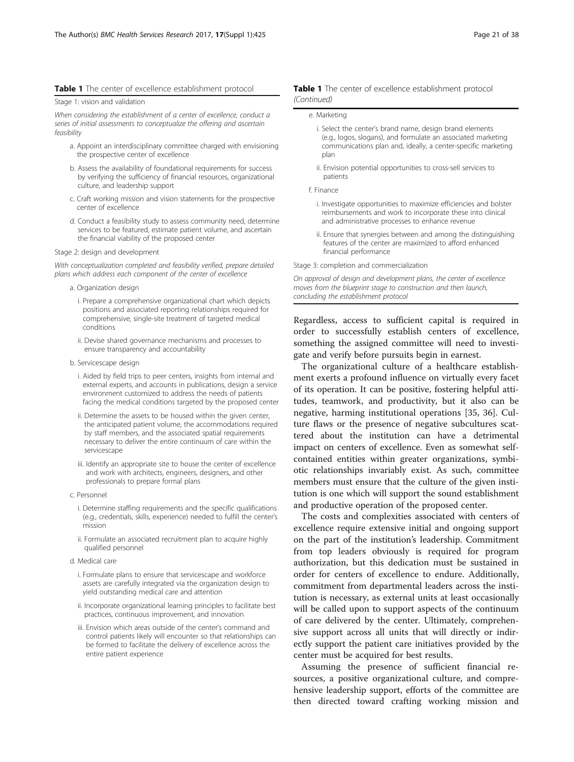## <span id="page-6-0"></span>Table 1 The center of excellence establishment protocol

Stage 1: vision and validation

When considering the establishment of a center of excellence, conduct a series of initial assessments to conceptualize the offering and ascertain feasibility

- a. Appoint an interdisciplinary committee charged with envisioning the prospective center of excellence
- b. Assess the availability of foundational requirements for success by verifying the sufficiency of financial resources, organizational culture, and leadership support
- c. Craft working mission and vision statements for the prospective center of excellence
- d. Conduct a feasibility study to assess community need, determine services to be featured, estimate patient volume, and ascertain the financial viability of the proposed center
- Stage 2: design and development

With conceptualization completed and feasibility verified, prepare detailed plans which address each component of the center of excellence

- a. Organization design
	- i. Prepare a comprehensive organizational chart which depicts positions and associated reporting relationships required for comprehensive, single-site treatment of targeted medical conditions
	- ii. Devise shared governance mechanisms and processes to ensure transparency and accountability
- b. Servicescape design
	- i. Aided by field trips to peer centers, insights from internal and external experts, and accounts in publications, design a service environment customized to address the needs of patients facing the medical conditions targeted by the proposed center
	- ii. Determine the assets to be housed within the given center, the anticipated patient volume, the accommodations required by staff members, and the associated spatial requirements necessary to deliver the entire continuum of care within the servicescape
	- iii. Identify an appropriate site to house the center of excellence and work with architects, engineers, designers, and other professionals to prepare formal plans
- c. Personnel
	- i. Determine staffing requirements and the specific qualifications (e.g., credentials, skills, experience) needed to fulfill the center's mission
	- ii. Formulate an associated recruitment plan to acquire highly qualified personnel
- d. Medical care
	- i. Formulate plans to ensure that servicescape and workforce assets are carefully integrated via the organization design to yield outstanding medical care and attention
	- ii. Incorporate organizational learning principles to facilitate best practices, continuous improvement, and innovation
	- iii. Envision which areas outside of the center's command and control patients likely will encounter so that relationships can be formed to facilitate the delivery of excellence across the entire patient experience

#### Table 1 The center of excellence establishment protocol (Continued)

#### e. Marketing

- i. Select the center's brand name, design brand elements (e.g., logos, slogans), and formulate an associated marketing communications plan and, ideally, a center-specific marketing plan
- ii. Envision potential opportunities to cross-sell services to patients
- f. Finance
	- i. Investigate opportunities to maximize efficiencies and bolster reimbursements and work to incorporate these into clinical and administrative processes to enhance revenue
	- ii. Ensure that synergies between and among the distinguishing features of the center are maximized to afford enhanced financial performance

Stage 3: completion and commercialization

On approval of design and development plans, the center of excellence moves from the blueprint stage to construction and then launch, concluding the establishment protocol

Regardless, access to sufficient capital is required in order to successfully establish centers of excellence, something the assigned committee will need to investigate and verify before pursuits begin in earnest.

The organizational culture of a healthcare establishment exerts a profound influence on virtually every facet of its operation. It can be positive, fostering helpful attitudes, teamwork, and productivity, but it also can be negative, harming institutional operations [[35](#page-9-0), [36](#page-9-0)]. Culture flaws or the presence of negative subcultures scattered about the institution can have a detrimental impact on centers of excellence. Even as somewhat selfcontained entities within greater organizations, symbiotic relationships invariably exist. As such, committee members must ensure that the culture of the given institution is one which will support the sound establishment and productive operation of the proposed center.

The costs and complexities associated with centers of excellence require extensive initial and ongoing support on the part of the institution's leadership. Commitment from top leaders obviously is required for program authorization, but this dedication must be sustained in order for centers of excellence to endure. Additionally, commitment from departmental leaders across the institution is necessary, as external units at least occasionally will be called upon to support aspects of the continuum of care delivered by the center. Ultimately, comprehensive support across all units that will directly or indirectly support the patient care initiatives provided by the center must be acquired for best results.

Assuming the presence of sufficient financial resources, a positive organizational culture, and comprehensive leadership support, efforts of the committee are then directed toward crafting working mission and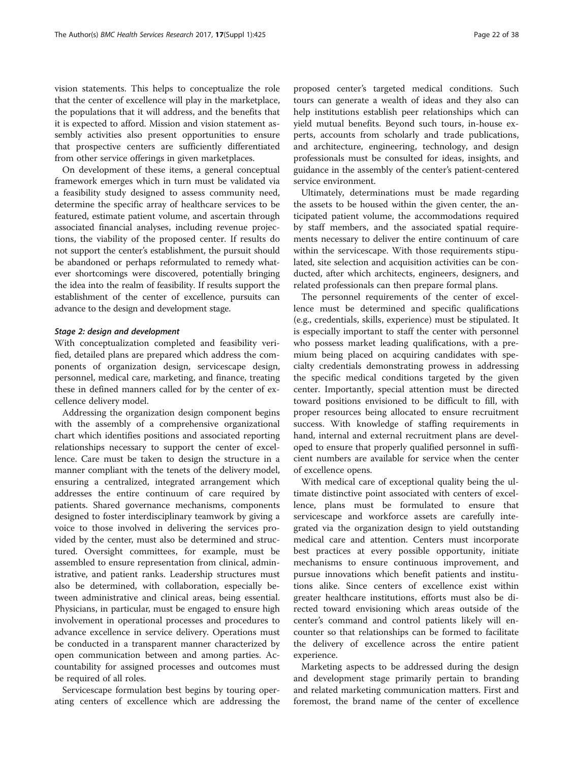vision statements. This helps to conceptualize the role that the center of excellence will play in the marketplace, the populations that it will address, and the benefits that it is expected to afford. Mission and vision statement assembly activities also present opportunities to ensure that prospective centers are sufficiently differentiated from other service offerings in given marketplaces.

On development of these items, a general conceptual framework emerges which in turn must be validated via a feasibility study designed to assess community need, determine the specific array of healthcare services to be featured, estimate patient volume, and ascertain through associated financial analyses, including revenue projections, the viability of the proposed center. If results do not support the center's establishment, the pursuit should be abandoned or perhaps reformulated to remedy whatever shortcomings were discovered, potentially bringing the idea into the realm of feasibility. If results support the establishment of the center of excellence, pursuits can advance to the design and development stage.

#### Stage 2: design and development

With conceptualization completed and feasibility verified, detailed plans are prepared which address the components of organization design, servicescape design, personnel, medical care, marketing, and finance, treating these in defined manners called for by the center of excellence delivery model.

Addressing the organization design component begins with the assembly of a comprehensive organizational chart which identifies positions and associated reporting relationships necessary to support the center of excellence. Care must be taken to design the structure in a manner compliant with the tenets of the delivery model, ensuring a centralized, integrated arrangement which addresses the entire continuum of care required by patients. Shared governance mechanisms, components designed to foster interdisciplinary teamwork by giving a voice to those involved in delivering the services provided by the center, must also be determined and structured. Oversight committees, for example, must be assembled to ensure representation from clinical, administrative, and patient ranks. Leadership structures must also be determined, with collaboration, especially between administrative and clinical areas, being essential. Physicians, in particular, must be engaged to ensure high involvement in operational processes and procedures to advance excellence in service delivery. Operations must be conducted in a transparent manner characterized by open communication between and among parties. Accountability for assigned processes and outcomes must be required of all roles.

Servicescape formulation best begins by touring operating centers of excellence which are addressing the proposed center's targeted medical conditions. Such tours can generate a wealth of ideas and they also can help institutions establish peer relationships which can yield mutual benefits. Beyond such tours, in-house experts, accounts from scholarly and trade publications, and architecture, engineering, technology, and design professionals must be consulted for ideas, insights, and guidance in the assembly of the center's patient-centered service environment.

Ultimately, determinations must be made regarding the assets to be housed within the given center, the anticipated patient volume, the accommodations required by staff members, and the associated spatial requirements necessary to deliver the entire continuum of care within the servicescape. With those requirements stipulated, site selection and acquisition activities can be conducted, after which architects, engineers, designers, and related professionals can then prepare formal plans.

The personnel requirements of the center of excellence must be determined and specific qualifications (e.g., credentials, skills, experience) must be stipulated. It is especially important to staff the center with personnel who possess market leading qualifications, with a premium being placed on acquiring candidates with specialty credentials demonstrating prowess in addressing the specific medical conditions targeted by the given center. Importantly, special attention must be directed toward positions envisioned to be difficult to fill, with proper resources being allocated to ensure recruitment success. With knowledge of staffing requirements in hand, internal and external recruitment plans are developed to ensure that properly qualified personnel in sufficient numbers are available for service when the center of excellence opens.

With medical care of exceptional quality being the ultimate distinctive point associated with centers of excellence, plans must be formulated to ensure that servicescape and workforce assets are carefully integrated via the organization design to yield outstanding medical care and attention. Centers must incorporate best practices at every possible opportunity, initiate mechanisms to ensure continuous improvement, and pursue innovations which benefit patients and institutions alike. Since centers of excellence exist within greater healthcare institutions, efforts must also be directed toward envisioning which areas outside of the center's command and control patients likely will encounter so that relationships can be formed to facilitate the delivery of excellence across the entire patient experience.

Marketing aspects to be addressed during the design and development stage primarily pertain to branding and related marketing communication matters. First and foremost, the brand name of the center of excellence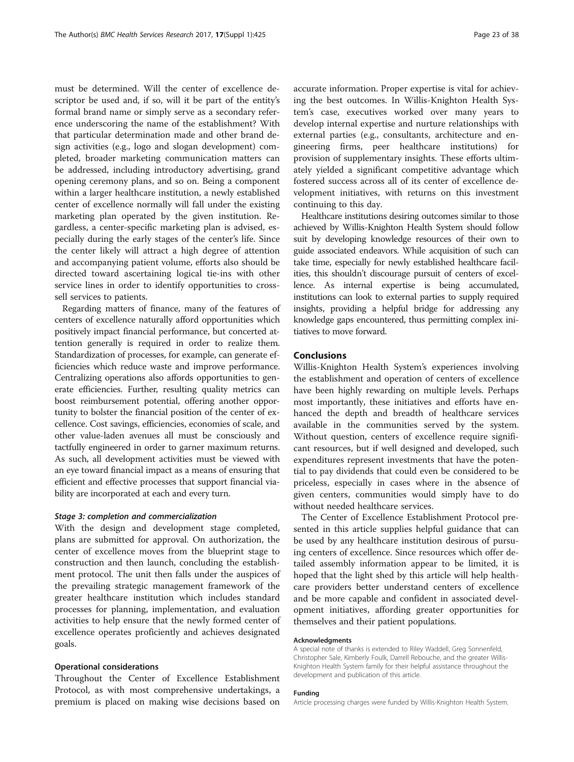must be determined. Will the center of excellence descriptor be used and, if so, will it be part of the entity's formal brand name or simply serve as a secondary reference underscoring the name of the establishment? With that particular determination made and other brand design activities (e.g., logo and slogan development) completed, broader marketing communication matters can be addressed, including introductory advertising, grand opening ceremony plans, and so on. Being a component within a larger healthcare institution, a newly established center of excellence normally will fall under the existing marketing plan operated by the given institution. Regardless, a center-specific marketing plan is advised, especially during the early stages of the center's life. Since the center likely will attract a high degree of attention and accompanying patient volume, efforts also should be directed toward ascertaining logical tie-ins with other service lines in order to identify opportunities to crosssell services to patients.

Regarding matters of finance, many of the features of centers of excellence naturally afford opportunities which positively impact financial performance, but concerted attention generally is required in order to realize them. Standardization of processes, for example, can generate efficiencies which reduce waste and improve performance. Centralizing operations also affords opportunities to generate efficiencies. Further, resulting quality metrics can boost reimbursement potential, offering another opportunity to bolster the financial position of the center of excellence. Cost savings, efficiencies, economies of scale, and other value-laden avenues all must be consciously and tactfully engineered in order to garner maximum returns. As such, all development activities must be viewed with an eye toward financial impact as a means of ensuring that efficient and effective processes that support financial viability are incorporated at each and every turn.

#### Stage 3: completion and commercialization

With the design and development stage completed, plans are submitted for approval. On authorization, the center of excellence moves from the blueprint stage to construction and then launch, concluding the establishment protocol. The unit then falls under the auspices of the prevailing strategic management framework of the greater healthcare institution which includes standard processes for planning, implementation, and evaluation activities to help ensure that the newly formed center of excellence operates proficiently and achieves designated goals.

#### Operational considerations

Throughout the Center of Excellence Establishment Protocol, as with most comprehensive undertakings, a premium is placed on making wise decisions based on accurate information. Proper expertise is vital for achieving the best outcomes. In Willis-Knighton Health System's case, executives worked over many years to develop internal expertise and nurture relationships with external parties (e.g., consultants, architecture and engineering firms, peer healthcare institutions) for provision of supplementary insights. These efforts ultimately yielded a significant competitive advantage which fostered success across all of its center of excellence development initiatives, with returns on this investment continuing to this day.

Healthcare institutions desiring outcomes similar to those achieved by Willis-Knighton Health System should follow suit by developing knowledge resources of their own to guide associated endeavors. While acquisition of such can take time, especially for newly established healthcare facilities, this shouldn't discourage pursuit of centers of excellence. As internal expertise is being accumulated, institutions can look to external parties to supply required insights, providing a helpful bridge for addressing any knowledge gaps encountered, thus permitting complex initiatives to move forward.

### Conclusions

Willis-Knighton Health System's experiences involving the establishment and operation of centers of excellence have been highly rewarding on multiple levels. Perhaps most importantly, these initiatives and efforts have enhanced the depth and breadth of healthcare services available in the communities served by the system. Without question, centers of excellence require significant resources, but if well designed and developed, such expenditures represent investments that have the potential to pay dividends that could even be considered to be priceless, especially in cases where in the absence of given centers, communities would simply have to do without needed healthcare services.

The Center of Excellence Establishment Protocol presented in this article supplies helpful guidance that can be used by any healthcare institution desirous of pursuing centers of excellence. Since resources which offer detailed assembly information appear to be limited, it is hoped that the light shed by this article will help healthcare providers better understand centers of excellence and be more capable and confident in associated development initiatives, affording greater opportunities for themselves and their patient populations.

#### Acknowledgments

A special note of thanks is extended to Riley Waddell, Greg Sonnenfeld, Christopher Sale, Kimberly Foulk, Darrell Rebouche, and the greater Willis-Knighton Health System family for their helpful assistance throughout the development and publication of this article.

#### Funding

Article processing charges were funded by Willis-Knighton Health System.